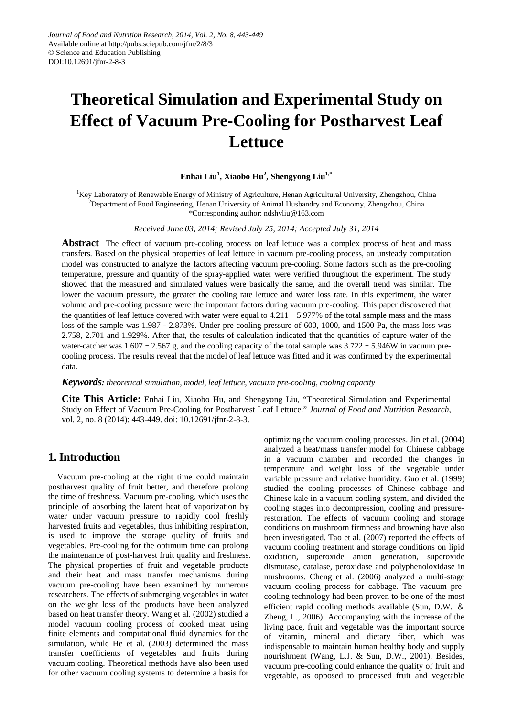# **Theoretical Simulation and Experimental Study on Effect of Vacuum Pre-Cooling for Postharvest Leaf Lettuce**

## **Enhai Liu1 , Xiaobo Hu2 , Shengyong Liu1,\***

<sup>1</sup>Key Laboratory of Renewable Energy of Ministry of Agriculture, Henan Agricultural University, Zhengzhou, China  $^{2}$ Department of Food Engineering, Henan University of Animal Husbandry and Economy, Zhengzhou, China \*Corresponding author: ndshyliu@163.com

*Received June 03, 2014; Revised July 25, 2014; Accepted July 31, 2014*

**Abstract** The effect of vacuum pre-cooling process on leaf lettuce was a complex process of heat and mass transfers. Based on the [physical](app:ds:physical) properties of leaf lettuce in vacuum pre-cooling process, an unsteady computation model was constructed to analyze the factors affecting vacuum pre-cooling. Some factors such as the pre-cooling temperature, pressure and quantity of the spray-applied water were verified throughout the experiment. The study showed that the measured and simulated values were basically the same, and the overall trend was similar. The lower the vacuum pressure, the greater the cooling rate lettuce and water loss rate. In this experiment, the water volume and pre-cooling pressure were the important factors during vacuum pre-cooling. This paper discovered that the quantities of leaf lettuce covered with water were equal to  $4.211 - 5.977\%$  of the total sample mass and the mass loss of the sample was 1.987 - 2.873%. Under pre-cooling pressure of 600, 1000, and 1500 Pa, the mass loss was 2.758, 2.701 and 1.929%. After that, the results of calculation indicated that the quantities of capture water of the water-catcher was  $1.607 - 2.567$  g, and the cooling capacity of the total sample was  $3.722 - 5.946W$  in vacuum precooling process. The results reveal that the model of leaf lettuce was fitted and it was confirmed by the experimental data.

#### *Keywords: theoretical simulation, model, leaf lettuce, vacuum pre-cooling, cooling capacity*

**Cite This Article:** Enhai Liu, Xiaobo Hu, and Shengyong Liu, "Theoretical Simulation and Experimental Study on Effect of Vacuum Pre-Cooling for Postharvest Leaf Lettuce." *Journal of Food and Nutrition Research*, vol. 2, no. 8 (2014): 443-449. doi: 10.12691/jfnr-2-8-3.

# **1.Introduction**

Vacuum pre-cooling at the right time could maintain postharvest quality of fruit better, and therefore prolong the time of freshness. Vacuum pre-cooling, which uses the principle of absorbing the latent heat of vaporization by water under vacuum pressure to rapidly cool freshly harvested fruits and vegetables, thus inhibiting respiration, is used to improve the storage quality of fruits and vegetables. Pre-cooling for the optimum time can prolong the maintenance of post-harvest fruit quality and freshness. The physical properties of fruit and vegetable products and their heat and mass transfer mechanisms during vacuum pre-cooling have been examined by numerous researchers. The effects of submerging vegetables in water on the weight loss of the products have been analyzed based on heat transfer theory. Wang et al. (2002) studied a model vacuum cooling process of cooked meat using finite elements and computational fluid dynamics for the simulation, while He et al. (2003) determined the mass transfer coefficients of vegetables and fruits during vacuum cooling. Theoretical methods have also been used for other vacuum cooling systems to determine a basis for

optimizing the vacuum cooling processes. Jin et al. (2004) analyzed a heat/mass transfer model for Chinese cabbage in a vacuum chamber and recorded the changes in temperature and weight loss of the vegetable under variable pressure and relative humidity. Guo et al. (1999) studied the cooling processes of Chinese cabbage and Chinese kale in a vacuum cooling system, and divided the cooling stages into decompression, cooling and pressurerestoration. The effects of vacuum cooling and storage conditions on mushroom firmness and browning have also been investigated. Tao et al. (2007) reported the effects of vacuum cooling treatment and storage conditions on lipid oxidation, superoxide anion generation, superoxide dismutase, catalase, peroxidase and polyphenoloxidase in mushrooms. Cheng et al. (2006) analyzed a multi-stage vacuum cooling process for cabbage. The vacuum precooling technology had been proven to be one of the most efficient rapid cooling methods available (Sun, D.W. & Zheng, L., 2006). Accompanying with the increase of the living pace, fruit and vegetable was the important source of vitamin, mineral and dietary fiber, which was indispensable to maintain human healthy body and supply nourishment (Wang, L.J. & Sun, D.W., 2001). Besides, vacuum pre-cooling could enhance the quality of fruit and vegetable, as opposed to processed fruit and vegetable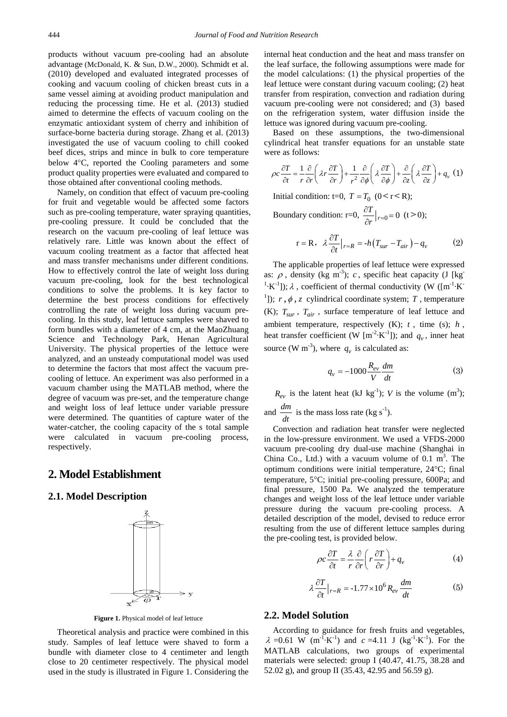products without vacuum pre-cooling had an absolute advantage (McDonald, K. & Sun, D.W., 2000). Schmidt et al. (2010) developed and evaluated integrated processes of cooking and vacuum cooling of chicken breast cuts in a same vessel aiming at avoiding product manipulation and reducing the processing time. He et al. (2013) studied aimed to determine the effects of vacuum cooling on the enzymatic antioxidant system of cherry and inhibition of surface-borne bacteria during storage. Zhang et al. (2013) investigated the use of vacuum cooling to chill cooked beef dices, strips and mince in bulk to core temperature below 4°C, reported the Cooling parameters and some product quality properties were evaluated and compared to those obtained after conventional cooling methods.

Namely, on condition that effect of vacuum pre-cooling for fruit and vegetable would be affected some factors such as pre-cooling temperature, water spraying quantities, pre-cooling pressure. It could be concluded that the research on the vacuum pre-cooling of leaf lettuce was relatively rare. Little was known about the effect of vacuum cooling treatment as a factor that affected heat and mass transfer mechanisms under different conditions. How to effectively control the late of weight loss during vacuum pre-cooling, look for the best technological conditions to solve the problems. It is key factor to determine the best process conditions for effectively controlling the rate of weight loss during vacuum precooling. In this study, leaf lettuce samples were shaved to form bundles with a diameter of 4 cm, at the MaoZhuang Science and Technology Park, Henan Agricultural University. The [physical](app:ds:physical) properties of the lettuce were analyzed, and an unsteady computational model was used to determine the factors that most affect the vacuum precooling of lettuce. An experiment was also performed in a vacuum chamber using the MATLAB method, where the degree of vacuum was pre-set, and the temperature change and weight loss of leaf lettuce under variable pressure were determined. The quantities of capture water of the water-catcher, the cooling capacity of the s total sample were calculated in vacuum pre-cooling process, respectively.

# **2. Model Establishment**

#### **2.1. Model Description**



**Figure 1.** Physical model of leaf lettuce

Theoretical analysis and practice were combined in this study. Samples of leaf lettuce were shaved to form a bundle with diameter close to 4 centimeter and length close to 20 centimeter respectively. The physical model used in the study is illustrated in Figure 1. Considering the

internal heat conduction and the heat and mass transfer on the leaf surface, the following assumptions were made for the model calculations: (1) the physical properties of the leaf lettuce were constant during vacuum cooling; (2) heat transfer from respiration, convection and radiation during vacuum pre-cooling were not considered; and (3) based on the refrigeration system, water diffusion inside the lettuce was ignored during vacuum pre-cooling.

Based on these assumptions, the two-dimensional cylindrical heat transfer equations for an unstable state were as follows:

$$
\rho c \frac{\partial T}{\partial t} = \frac{1}{r} \frac{\partial}{\partial r} \left( \lambda r \frac{\partial T}{\partial r} \right) + \frac{1}{r^2} \frac{\partial}{\partial \phi} \left( \lambda \frac{\partial T}{\partial \phi} \right) + \frac{\partial}{\partial z} \left( \lambda \frac{\partial T}{\partial z} \right) + q_v (1)
$$

Initial condition: t=0,  $T = T_0$  (0 < r < R);

Boundary condition: r=0,  $\frac{\partial T}{\partial x}|_{r=0} = 0$  $\frac{\partial T}{\partial r}|_{r=0} = 0$  (t > 0);

$$
r = R, \quad \lambda \frac{\partial T}{\partial t}\big|_{r=R} = -h \big( T_{sur} - T_{air} \big) - q_v \tag{2}
$$

The applicable properties of leaf lettuce were expressed as:  $\rho$ , density (kg m<sup>-3</sup>); *c*, specific heat capacity (J [kg] <sup>1</sup>·K<sup>-1</sup>]);  $\lambda$ , coefficient of thermal conductivity (W ([m<sup>-1</sup>·K<sup>-1</sup>)] <sup>1</sup>]);  $r, \phi, z$  cylindrical coordinate system; *T*, temperature (K);  $T_{sur}$ ,  $T_{air}$ , surface temperature of leaf lettuce and ambient temperature, respectively (K); *t* , time (s); *h* , heat transfer coefficient (W  $[m^{-2} \cdot K^{-1}]$ ); and  $q_v$ , inner heat source (W m<sup>-3</sup>), where  $q_v$  is calculated as:

$$
q_{v} = -1000 \frac{R_{ev}}{V} \frac{dm}{dt} \tag{3}
$$

 $R_{ev}$  is the latent heat (kJ kg<sup>-1</sup>); *V* is the volume (m<sup>3</sup>);

and  $\frac{dm}{dt}$  is the mass loss rate (kg s<sup>-1</sup>).

Convection and radiation heat transfer were neglected in the low-pressure environment. We used a VFDS-2000 vacuum pre-cooling dry dual-use machine (Shanghai in China Co., Ltd.) with a vacuum volume of  $0.1 \text{ m}^3$ . The optimum conditions were initial temperature, 24°C; final temperature, 5°C; initial pre-cooling pressure, 600Pa; and final pressure, 1500 Pa. We analyzed the temperature changes and weight loss of the leaf lettuce under variable pressure during the vacuum pre-cooling process. A detailed description of the model, devised to reduce error resulting from the use of different lettuce samples during the pre-cooling test, is provided below.

$$
\rho c \frac{\partial T}{\partial t} = \frac{\lambda}{r} \frac{\partial}{\partial r} \left( r \frac{\partial T}{\partial r} \right) + q_v \tag{4}
$$

$$
\lambda \frac{\partial T}{\partial t}\big|_{r=R} = -1.77 \times 10^6 R_{ev} \frac{dm}{dt} \tag{5}
$$

#### **2.2. Model Solution**

According to guidance for fresh fruits and vegetables,  $\lambda = 0.61$  W (m<sup>-1</sup>·K<sup>-1</sup>) and  $c = 4.11$  J (kg<sup>-1</sup>·K<sup>-1</sup>). For the MATLAB calculations, two groups of experimental materials were selected: group I (40.47, 41.75, 38.28 and 52.02 g), and group II (35.43, 42.95 and 56.59 g).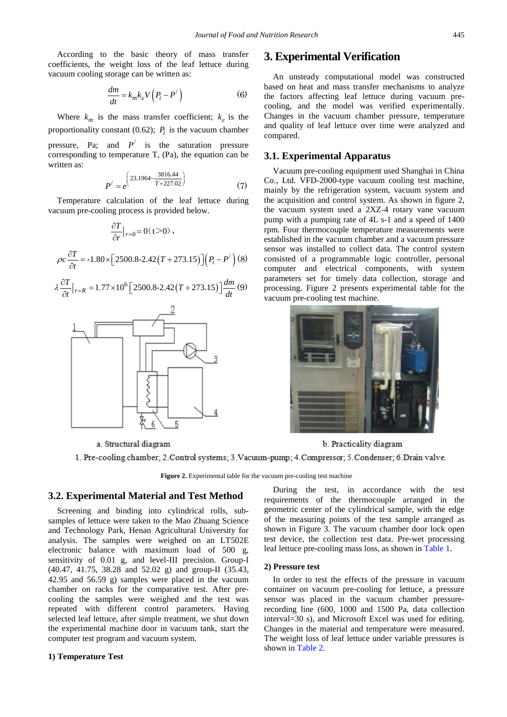According to the basic theory of mass transfer coefficients, the weight loss of the leaf lettuce during vacuum cooling storage can be written as:

$$
\frac{dm}{dt} = k_m k_{\varepsilon} V \left( P_i - P' \right) \tag{6}
$$

Where  $k_m$  is the mass transfer coefficient;  $k_c$  is the proportionality constant (0.62);  $P_i$  is the vacuum chamber pressure, Pa; and  $P'$  is the saturation pressure corresponding to temperature T, (Pa), the equation can be written as:

$$
P' = e^{\left(23.1964 - \frac{3816.44}{T + 227.02}\right)}
$$
(7)

Temperature calculation of the leaf lettuce during vacuum pre-cooling process is provided below.

$$
\frac{\partial T}{\partial r}\big|_{r=0} = 0 \quad (t > 0) \; ,
$$

$$
\rho c \frac{\partial T}{\partial t} = -1.80 \times \left[2500.8 - 2.42(T + 273.15)\right]\left(P_i - P'\right)\left(8\right)
$$

$$
\lambda \frac{\partial T}{\partial t}\big|_{r=R} = 1.77 \times 10^6 \Big[ 2500.8 - 2.42 \big( T + 273.15 \big) \Big] \frac{dm}{dt} \, (9)
$$



#### a. Structural diagram

# **3. Experimental Verification**

An unsteady computational model was constructed based on heat and mass transfer mechanisms to analyze the factors affecting leaf lettuce during vacuum precooling, and the model was verified experimentally. Changes in the vacuum chamber pressure, temperature and quality of leaf lettuce over time were analyzed and compared.

#### **3.1. Experimental Apparatus**

Vacuum pre-cooling equipment used Shanghai in China Co., Ltd. VFD-2000-type vacuum cooling test machine, mainly by the refrigeration system, vacuum system and the acquisition and control system. As shown in figure 2, the vacuum system used a 2XZ-4 rotary vane vacuum pump with a pumping rate of 4L s-1 and a speed of 1400 rpm. Four thermocouple temperature measurements were established in the vacuum chamber and a vacuum pressure sensor was installed to collect data. The control system consisted of a programmable logic controller, personal computer and electrical components, with system parameters set for timely data collection, storage and processing. Figure 2 presents experimental table for the vacuum pre-cooling test machine.



b. Practicality diagram

1. Pre-cooling chamber; 2. Control systems; 3. Vacuum-pump; 4. Compressor; 5. Condenser; 6. Drain valve.

**Figure 2.** Experimental table for the vacuum pre-cooling test machine

#### **3.2. Experimental Material and Test Method**

Screening and binding into cylindrical rolls, subsamples of lettuce were taken to the Mao Zhuang Science and Technology Park, Henan Agricultural University for analysis. The samples were weighed on an LT502E electronic balance with maximum load of 500 g, sensitivity of 0.01 g, and level-III precision. Group-I (40.47, 41.75, 38.28 and 52.02 g) and group-II (35.43, 42.95 and 56.59 g) samples were placed in the vacuum chamber on racks for the comparative test. After precooling the samples were weighed and the test was repeated with different control parameters. Having selected leaf lettuce, after simple treatment, we shut down the experimental machine door in vacuum tank, start the computer test program and vacuum system.

#### **1) Temperature Test**

During the test, in accordance with the test requirements of the thermocouple arranged in the geometric center of the cylindrical sample, with the edge of the measuring points of the test sample arranged as shown in Figure 3. The vacuum chamber door lock open test device, the collection test data. Pre-wet processing leaf lettuce pre-cooling mass loss, as shown in [Table 1.](#page-3-0)

#### **2) Pressure test**

In order to test the effects of the pressure in vacuum container on vacuum pre-cooling for lettuce, a pressure sensor was placed in the vacuum chamber pressurerecording line (600, 1000 and 1500 Pa, data collection interval=30 s), and Microsoft Excel was used for editing. Changes in the material and temperature were measured. The weight loss of leaf lettuce under variable pressures is shown in [Table 2.](#page-3-1)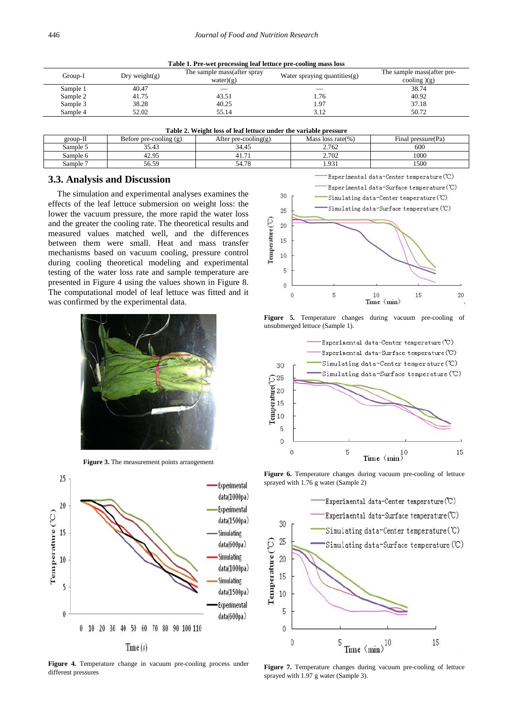| Table 1. Pre-wet processing leaf lettuce pre-cooling mass loss |  |
|----------------------------------------------------------------|--|
|                                                                |  |

<span id="page-3-0"></span>

| Group-I  | Dry weight $(g)$ | The sample mass (after spray<br>water $(g)$ | Water spraying quantities(g) | The sample mass (after pre-<br>cooling $(g)$ |  |  |  |
|----------|------------------|---------------------------------------------|------------------------------|----------------------------------------------|--|--|--|
| Sample 1 | 40.47            |                                             |                              | 38.74                                        |  |  |  |
| Sample 2 | 41.75            | 43.51                                       | 1.76                         | 40.92                                        |  |  |  |
| Sample 3 | 38.28            | 40.25                                       | 1.97                         | 37.18                                        |  |  |  |
| Sample 4 | 52.02            | 55.14                                       | 3.12                         | 50.72                                        |  |  |  |

**Table 2. Weight loss of leaf lettuce under the variable pressure**

<span id="page-3-1"></span>

| group-11          | Before pre-cooling (g)    | After pre-cooling(g)             | Mass loss rate(%)       | $\sim$<br>Final pressure (Pa) |
|-------------------|---------------------------|----------------------------------|-------------------------|-------------------------------|
| Sample 5          | $\sim$<br>$\sim$<br>33.43 | 34.45                            | 2.762                   | 600                           |
| Sample 6          | 42.95                     | $\overline{\phantom{0}}$<br>41.7 | 2.702                   | 1000                          |
| $\mathsf{sample}$ | 56.59                     | $\sim$<br>д.<br>JT.IU            | Q <sub>3</sub><br>1.221 | 1500                          |

#### **3.3. Analysis and Discussion**

The simulation and experimental analyses examines the effects of the leaf lettuce submersion on weight loss: the lower the vacuum pressure, the more rapid the water loss and the greater the cooling rate. The theoretical results and measured values matched well, and the differences between them were small. Heat and mass transfer mechanisms based on vacuum cooling, pressure control during cooling theoretical modeling and experimental testing of the water loss rate and sample temperature are presented in Figure 4 using the values shown in Figure 8. The computational model of leaf lettuce was fitted and it was confirmed by the experimental data.



**Figure 3.** The measurement points arrangement



**Figure 4.** Temperature change in vacuum pre-cooling process under different pressures



**Figure 5.** Temperature changes during vacuum pre-cooling of unsubmerged lettuce (Sample 1).



Figure 6. Temperature changes during vacuum pre-cooling of lettuce sprayed with 1.76 g water (Sample 2)



Figure 7. Temperature changes during vacuum pre-cooling of lettuce sprayed with 1.97 g water (Sample 3).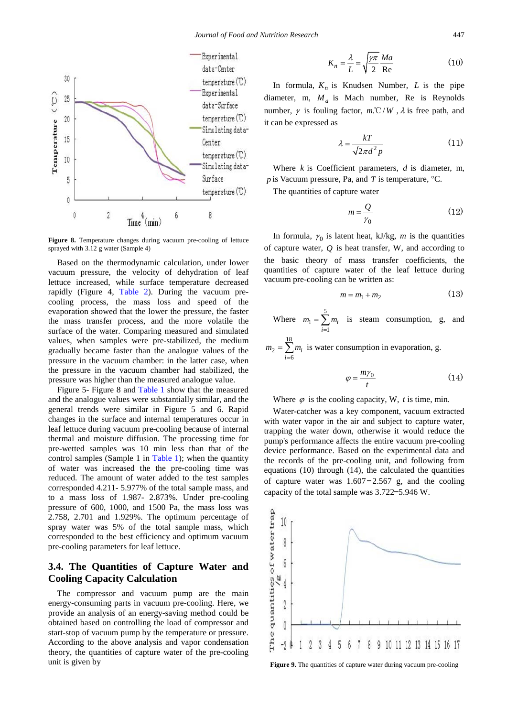

Figure 8. Temperature changes during vacuum pre-cooling of lettuce sprayed with 3.12 g water (Sample 4)

Based on the thermodynamic calculation, under lower vacuum pressure, the velocity of dehydration of leaf lettuce increased, while surface temperature decreased rapidly (Figure 4, [Table 2\)](#page-3-1). During the vacuum precooling process, the mass loss and speed of the evaporation showed that the lower the pressure, the faster the mass transfer process, and the more volatile the surface of the water. Comparing measured and simulated values, when samples were pre-stabilized, the medium gradually became faster than the analogue values of the pressure in the vacuum chamber: in the latter case, when the pressure in the vacuum chamber had stabilized, the pressure was higher than the measured analogue value.

Figure 5- Figure 8 and [Table 1](#page-3-0) show that the measured and the analogue values were substantially similar, and the general trends were similar in Figure 5 and 6. Rapid changes in the surface and internal temperatures occur in leaf lettuce during vacuum pre-cooling because of internal thermal and moisture diffusion. The processing time for pre-wetted samples was 10 min less than that of the control samples (Sample 1 in [Table 1\)](#page-3-0); when the quantity of water was increased the the pre-cooling time was reduced. The amount of water added to the test samples corresponded 4.211- 5.977% of the total sample mass, and to a mass loss of 1.987- 2.873%. Under pre-cooling pressure of 600, 1000, and 1500 Pa, the mass loss was 2.758, 2.701 and 1.929%. The optimum percentage of spray water was 5% of the total sample mass, which corresponded to the best efficiency and optimum vacuum pre-cooling parameters for leaf lettuce.

# **3.4. The Quantities of Capture Water and Cooling Capacity Calculation**

The compressor and vacuum pump are the main energy-consuming parts in vacuum pre-cooling. Here, we provide an analysis of an energy-saving method could be obtained based on controlling the load of compressor and start-stop of vacuum pump by the temperature or pressure. According to the above analysis and vapor condensation theory, the quantities of capture water of the pre-cooling unit is given by

$$
K_n = \frac{\lambda}{L} = \sqrt{\frac{\gamma \pi}{2}} \frac{Ma}{\text{Re}} \tag{10}
$$

In formula,  $K_n$  is Knudsen Number, *L* is the pipe diameter, m,  $M_a$  is Mach number, Re is Reynolds number,  $\gamma$  is fouling factor,  $m \mathcal{C}/W$ ,  $\lambda$  is free path, and it can be expressed as

$$
\lambda = \frac{kT}{\sqrt{2}\pi d^2 p} \tag{11}
$$

Where *k* is Coefficient parameters, *d* is diameter, m*, p* is Vacuum pressure, Pa, and *T* is temperature, °C.

The quantities of capture water

$$
m = \frac{Q}{\gamma_0} \tag{12}
$$

In formula,  $\gamma_0$  is latent heat, kJ/kg, *m* is the quantities of capture water, *Q* is heat transfer, W, and according to the basic theory of mass transfer coefficients, the quantities of capture water of the leaf lettuce during vacuum pre-cooling can be written as:

$$
m = m_1 + m_2 \tag{13}
$$

Where 5  $\mathbf{q}$ 1 *i i*  $m_1 = \sum m$  $=\sum_{i=1}^{n} m_i$  is steam consumption, g, and

18 2 6 *i i*  $m_2 = \sum m$  $=\sum_{i=6} m_i$  is water consumption in evaporation, g.

$$
\varphi = \frac{m\gamma_0}{t} \tag{14}
$$

Where  $\varphi$  is the cooling capacity, W, *t* is time, min.

Water-catcher was a key component, vacuum extracted with water vapor in the air and subject to capture water, trapping the water down, otherwise it would reduce the pump's performance affects the entire vacuum pre-cooling device performance. Based on the experimental data and the records of the pre-cooling unit, and following from equations (10) through (14), the calculated the quantities of capture water was  $1.607 - 2.567$  g, and the cooling capacity of the total sample was 3.722–5.946 W.



Figure 9. The quantities of capture water during vacuum pre-cooling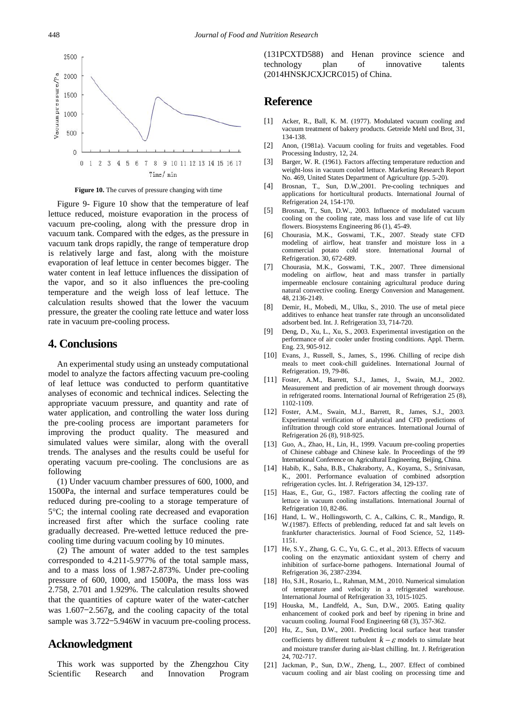

**Figure 10.** The curves of pressure changing with time

Figure 9- Figure 10 show that the temperature of leaf lettuce reduced, moisture evaporation in the process of vacuum pre-cooling, along with the pressure drop in vacuum tank. Compared with the edges, as the pressure in vacuum tank drops rapidly, the range of temperature drop is relatively large and fast, along with the moisture evaporation of leaf lettuce in center becomes bigger. The water content in leaf lettuce influences the dissipation of the vapor, and so it also influences the pre-cooling temperature and the weigh loss of leaf lettuce. The calculation results showed that the lower the vacuum pressure, the greater the cooling rate lettuce and water loss rate in vacuum pre-cooling process.

### **4. Conclusions**

An experimental study using an unsteady computational model to analyze the factors affecting vacuum pre-cooling of leaf lettuce was conducted to perform quantitative analyses of economic and technical indices. Selecting the appropriate vacuum pressure, and quantity and rate of water application, and controlling the water loss during the pre-cooling process are important parameters for improving the product quality. The measured and simulated values were similar, along with the overall trends. The analyses and the results could be useful for operating vacuum pre-cooling. The conclusions are as following

(1) Under vacuum chamber pressures of 600, 1000, and 1500Pa, the internal and surface temperatures could be reduced during pre-cooling to a storage temperature of 5°C; the internal cooling rate decreased and evaporation increased first after which the surface cooling rate gradually decreased. Pre-wetted lettuce reduced the precooling time during vacuum cooling by 10 minutes.

(2) The amount of water added to the test samples corresponded to 4.211-5.977% of the total sample mass, and to a mass loss of 1.987-2.873%. Under pre-cooling pressure of 600, 1000, and 1500Pa, the mass loss was 2.758, 2.701 and 1.929%. The calculation results showed that the quantities of capture water of the water-catcher was 1.607–2.567g, and the cooling capacity of the total sample was  $3.722 - 5.946W$  in vacuum pre-cooling process.

# **Acknowledgment**

This work was supported by the Zhengzhou City Scientific Research and Innovation Program (131PCXTD588) and Henan province science and technology plan of innovative talents (2014HNSKJCXJCRC015) of China.

# **Reference**

- [1] Acker, R., Ball, K. M. (1977). Modulated vacuum cooling and vacuum treatment of bakery products. Getreide Mehl und Brot, 31, 134-138.
- [2] Anon, (1981a). Vacuum cooling for fruits and vegetables. Food Processing Industry, 12, 24.
- [3] Barger, W. R. (1961). Factors affecting temperature reduction and weight-loss in vacuum cooled lettuce. Marketing Research Report No. 469, United States Department of Agriculture (pp. 5-20).
- [4] Brosnan, T., Sun, D.W.,2001. Pre-cooling techniques and applications for horticultural products. International Journal of Refrigeration 24, 154-170.
- [5] Brosnan, T., Sun, D.W., 2003. Influence of modulated vacuum cooling on the cooling rate, mass loss and vase life of cut lily flowers. Biosystems Engineering 86 (1), 45-49.
- [6] Chourasia, M.K., Goswami, T.K., 2007. Steady state CFD modeling of airflow, heat transfer and moisture loss in a commercial potato cold store. International Journal of Refrigeration. 30, 672-689.
- [7] Chourasia, M.K., Goswami, T.K., 2007. Three dimensional modeling on airflow, heat and mass transfer in partially impermeable enclosure containing agricultural produce during natural convective cooling. Energy Conversion and Management. 48, 2136-2149.
- [8] Demir, H., Mobedi, M., Ulku, S., 2010. The use of metal piece additives to enhance heat transfer rate through an unconsolidated adsorbent bed. Int. J. Refrigeration 33, 714-720.
- [9] Deng, D., Xu, L., Xu, S., 2003. Experimental investigation on the performance of air cooler under frosting conditions. Appl. Therm. Eng. 23, 905-912.
- [10] Evans, J., Russell, S., James, S., 1996. Chilling of recipe dish meals to meet cook-chill guidelines. International Journal of Refrigeration. 19, 79-86.
- [11] Foster, A.M., Barrett, S.J., James, J., Swain, M.J., 2002. Measurement and prediction of air movement through doorways in refrigerated rooms. International Journal of Refrigeration 25 (8), 1102-1109.
- [12] Foster, A.M., Swain, M.J., Barrett, R., James, S.J., 2003. Experimental verification of analytical and CFD predictions of infiltration through cold store entrances. International Journal of Refrigeration 26 (8), 918-925.
- [13] Guo, A., Zhao, H., Lin, H., 1999. Vacuum pre-cooling properties of Chinese cabbage and Chinese kale. In Proceedings of the 99 International Conference on Agricultural Engineering, Beijing, China.
- [14] Habib, K., Saha, B.B., Chakraborty, A., Koyama, S., Srinivasan, K., 2001. Performance evaluation of combined adsorption refrigeration cycles. Int. J. Refrigeration 34, 129-137.
- [15] Haas, E., Gur, G., 1987. Factors affecting the cooling rate of lettuce in vacuum cooling installations. International Journal of Refrigeration 10, 82-86.
- [16] Hand, L. W., Hollingsworth, C. A., Calkins, C. R., Mandigo, R. W.(1987). Effects of preblending, reduced fat and salt levels on frankfurter characteristics. Journal of Food Science, 52, 1149- 1151.
- [17] He, S.Y., Zhang, G. C., Yu, G. C., et al., 2013. Effects of vacuum cooling on the enzymatic antioxidant system of cherry and inhibition of surface-borne pathogens. International Journal of Refrigeration 36, 2387-2394.
- [18] Ho, S.H., Rosario, L., Rahman, M.M., 2010. Numerical simulation of temperature and velocity in a refrigerated warehouse. International Journal of Refrigeration 33, 1015-1025.
- [19] Houska, M., Landfeld, A., Sun, D.W., 2005. Eating quality enhancement of cooked pork and beef by ripening in brine and vacuum cooling. Journal Food Engineering 68 (3), 357-362.
- [20] Hu, Z., Sun, D.W., 2001. Predicting local surface heat transfer coefficients by different turbulent  $k - \varepsilon$  models to simulate heat and moisture transfer during air-blast chilling. Int. J. Refrigeration 24, 702-717.
- [21] Jackman, P., Sun, D.W., Zheng, L., 2007. Effect of combined vacuum cooling and air blast cooling on processing time and